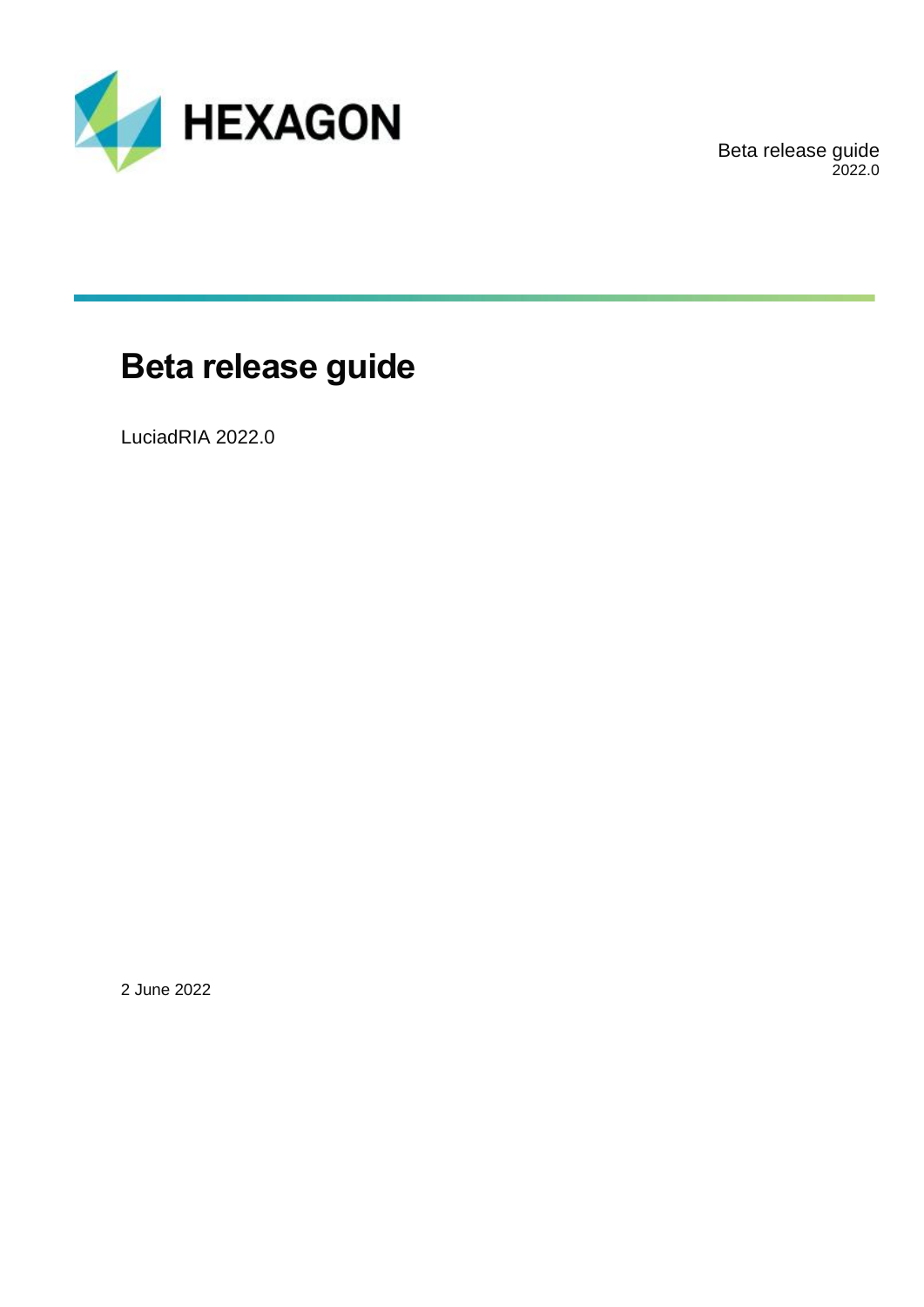

Beta release guide 2022.0

## **Beta release guide**

LuciadRIA 2022.0

2 June 2022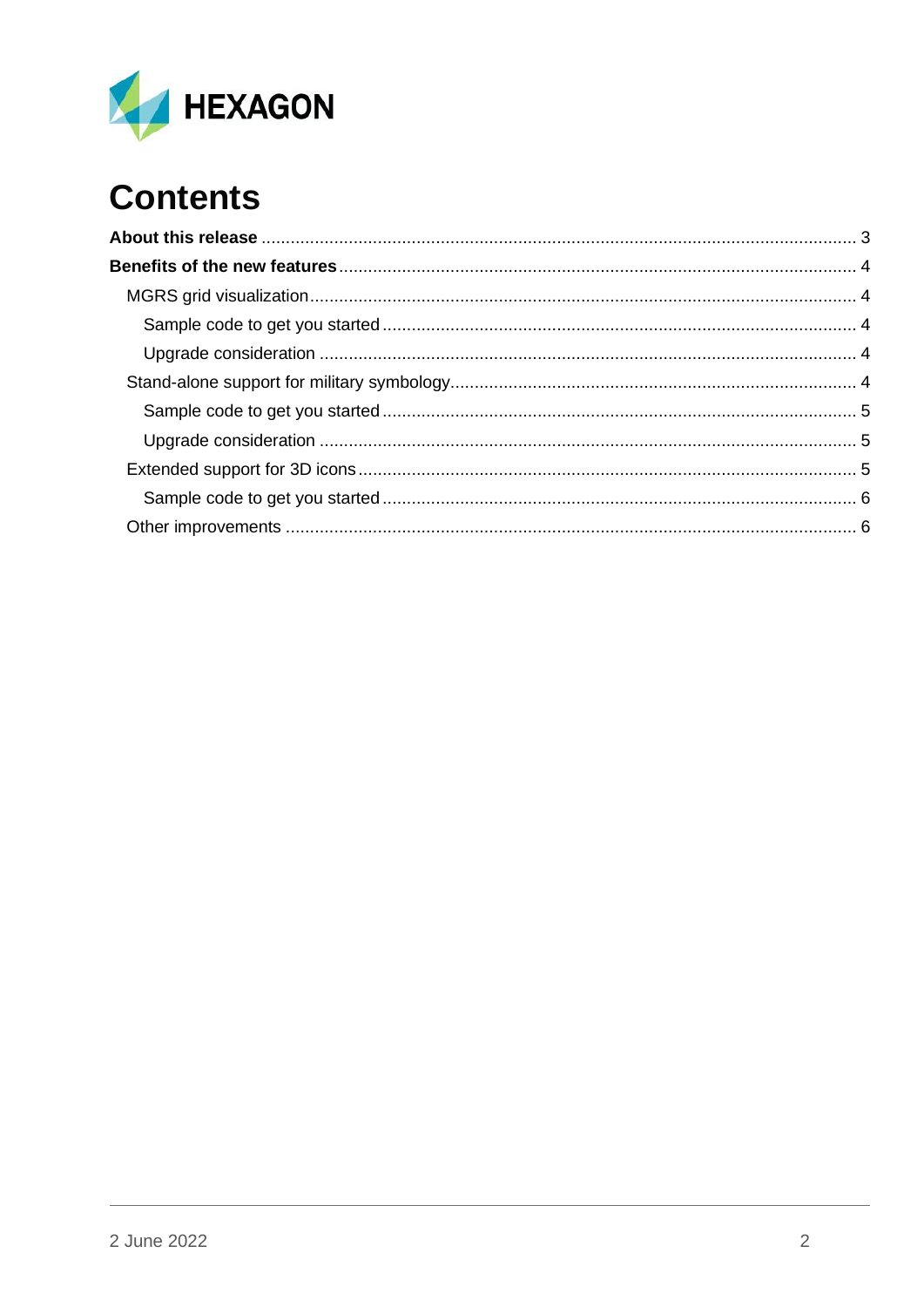

# **Contents**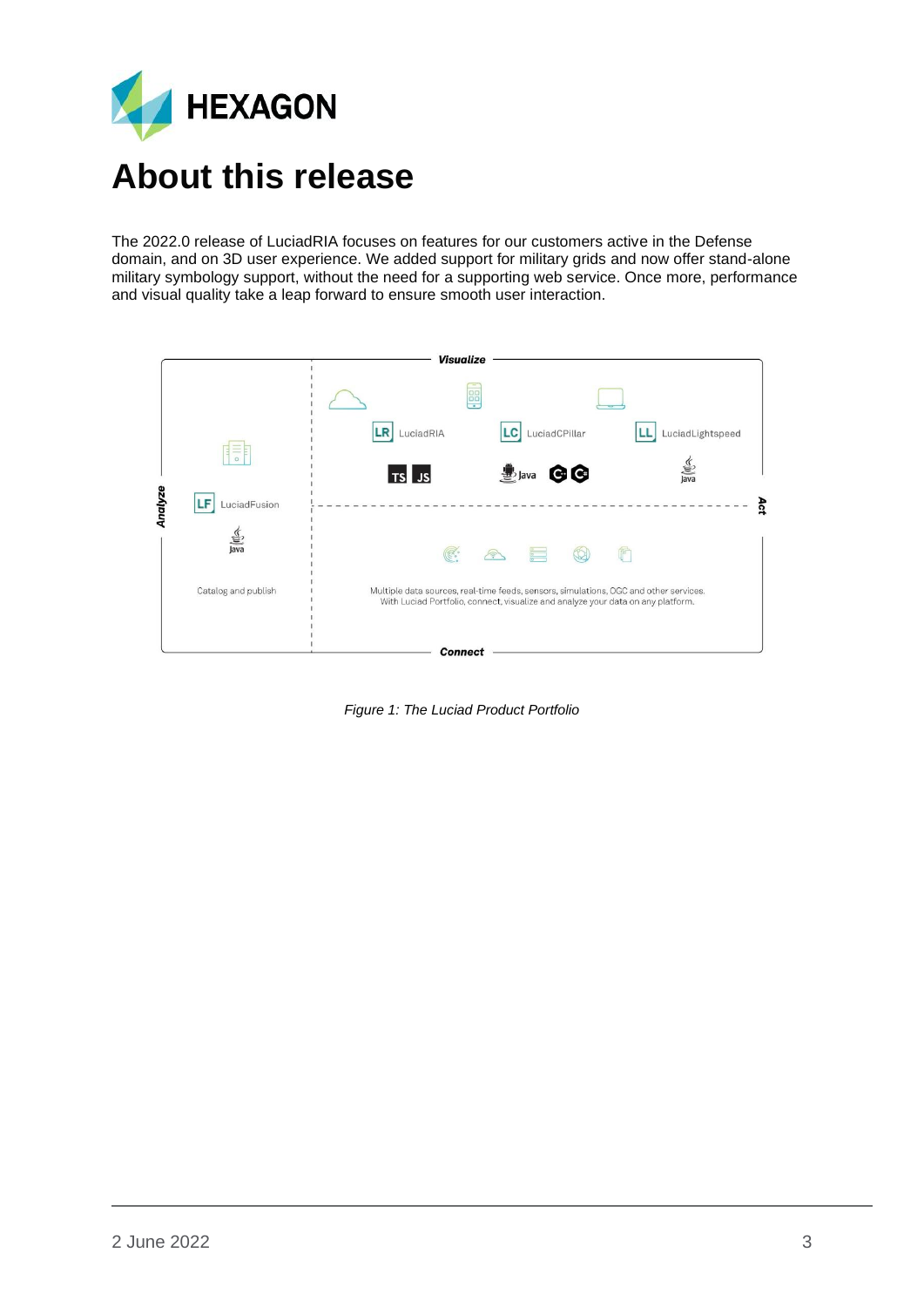

<span id="page-2-0"></span>The 2022.0 release of LuciadRIA focuses on features for our customers active in the Defense domain, and on 3D user experience. We added support for military grids and now offer stand-alone military symbology support, without the need for a supporting web service. Once more, performance and visual quality take a leap forward to ensure smooth user interaction.



*Figure 1: The Luciad Product Portfolio*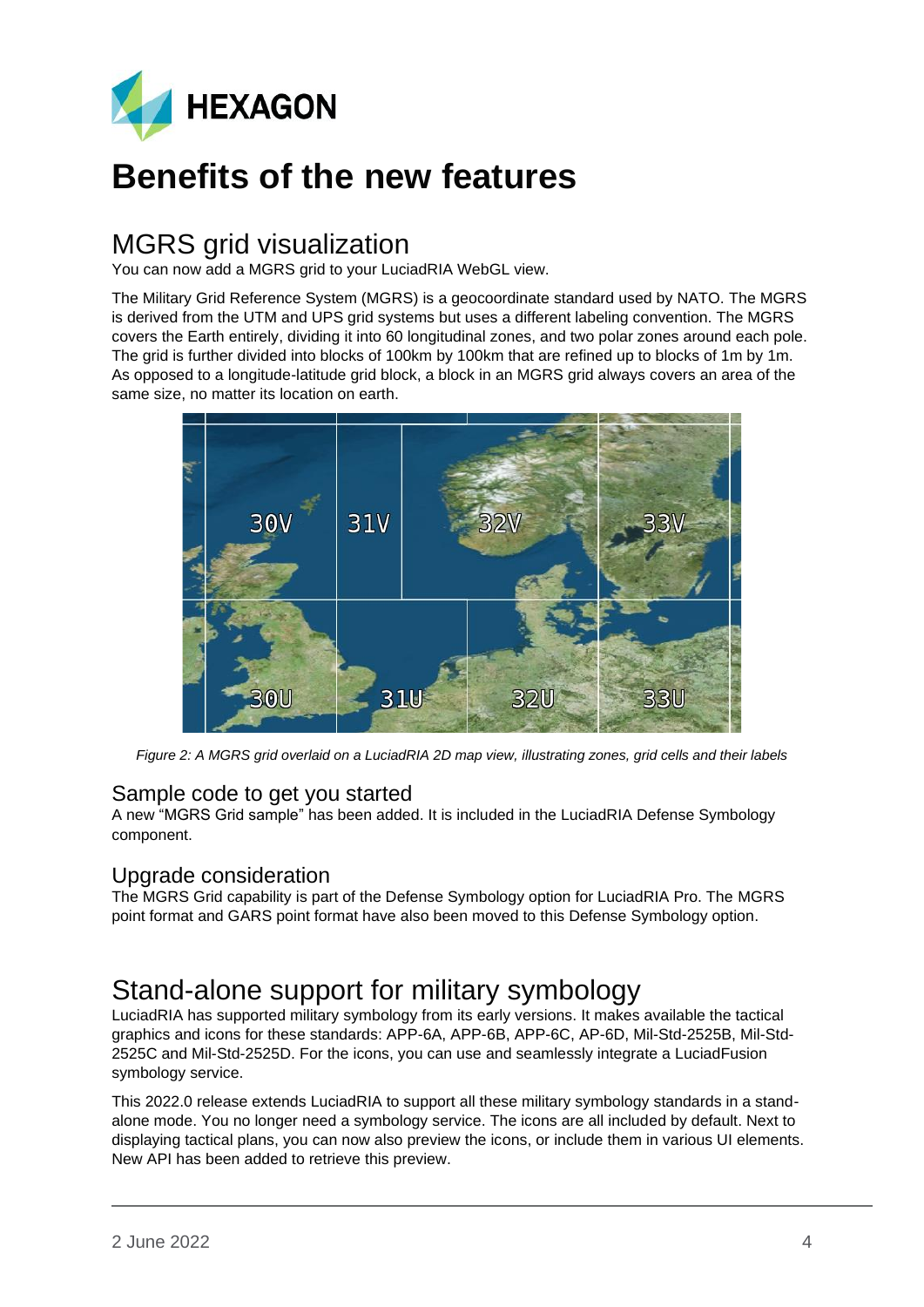

## <span id="page-3-0"></span>**Benefits of the new features**

### <span id="page-3-1"></span>MGRS grid visualization

You can now add a MGRS grid to your LuciadRIA WebGL view.

The Military Grid Reference System (MGRS) is a geocoordinate standard used by NATO. The MGRS is derived from the UTM and UPS grid systems but uses a different labeling convention. The MGRS covers the Earth entirely, dividing it into 60 longitudinal zones, and two polar zones around each pole. The grid is further divided into blocks of 100km by 100km that are refined up to blocks of 1m by 1m. As opposed to a longitude-latitude grid block, a block in an MGRS grid always covers an area of the same size, no matter its location on earth.



*Figure 2: A MGRS grid overlaid on a LuciadRIA 2D map view, illustrating zones, grid cells and their labels*

#### <span id="page-3-2"></span>Sample code to get you started

A new "MGRS Grid sample" has been added. It is included in the LuciadRIA Defense Symbology component.

#### <span id="page-3-3"></span>Upgrade consideration

The MGRS Grid capability is part of the Defense Symbology option for LuciadRIA Pro. The MGRS point format and GARS point format have also been moved to this Defense Symbology option.

### <span id="page-3-4"></span>Stand-alone support for military symbology

LuciadRIA has supported military symbology from its early versions. It makes available the tactical graphics and icons for these standards: APP-6A, APP-6B, APP-6C, AP-6D, Mil-Std-2525B, Mil-Std-2525C and Mil-Std-2525D. For the icons, you can use and seamlessly integrate a LuciadFusion symbology service.

This 2022.0 release extends LuciadRIA to support all these military symbology standards in a standalone mode. You no longer need a symbology service. The icons are all included by default. Next to displaying tactical plans, you can now also preview the icons, or include them in various UI elements. New API has been added to retrieve this preview.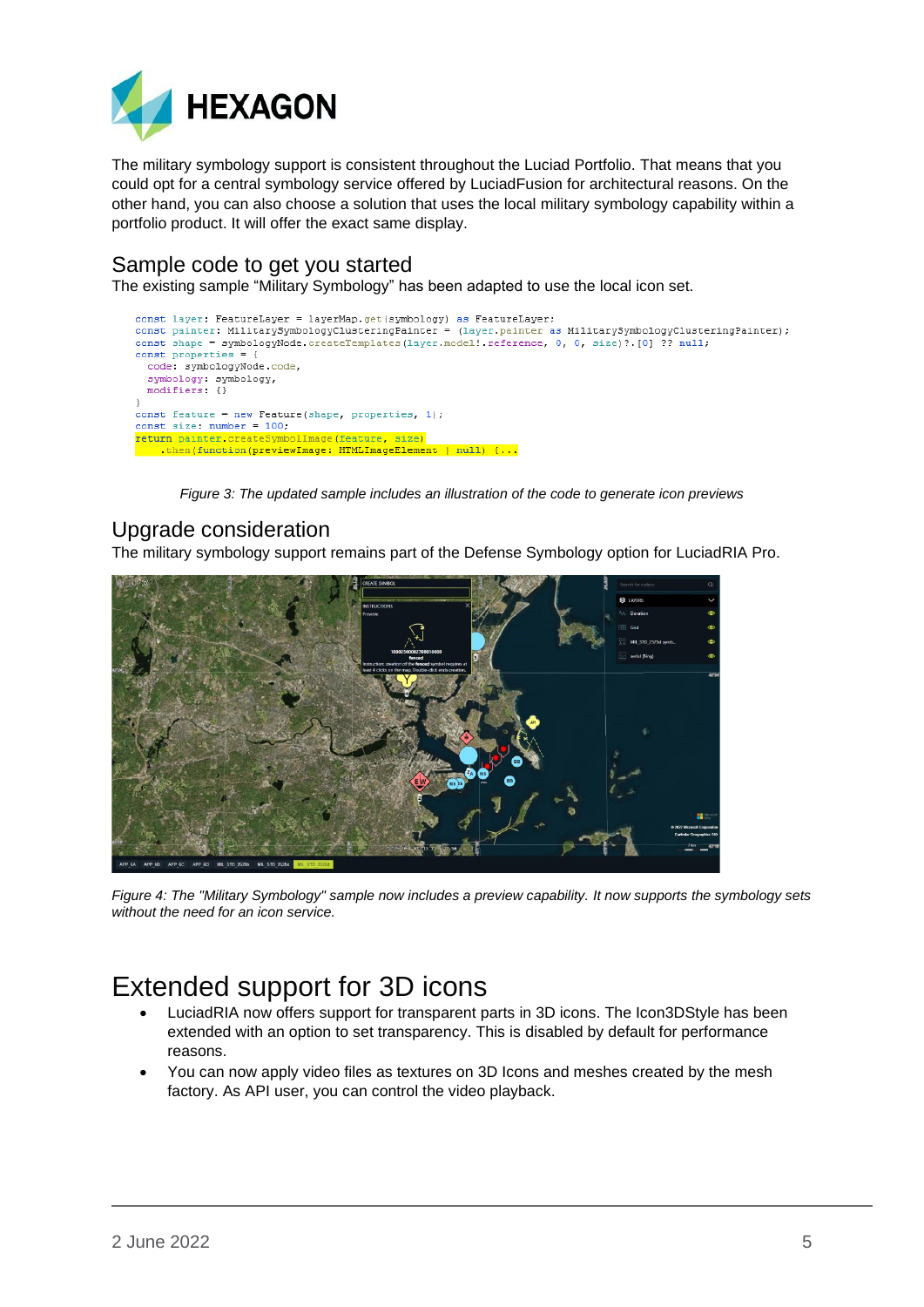

The military symbology support is consistent throughout the Luciad Portfolio. That means that you could opt for a central symbology service offered by LuciadFusion for architectural reasons. On the other hand, you can also choose a solution that uses the local military symbology capability within a portfolio product. It will offer the exact same display.

#### <span id="page-4-0"></span>Sample code to get you started

The existing sample "Military Symbology" has been adapted to use the local icon set.

```
const layer: FeatureLayer = layerMap.get(symbology) as FeatureLayer;<br>const painter: MilitarySymbologyClusteringPainter = (layer.painter as MilitarySymbologyClusteringPainter);
const shape = symbologyNode.createTemplates(layer.model! reference, 0, 0, size)?.[0] ?? null,
const properties = {
  code: symbologyNode.code,
  symbology: symbology,
  modifiers: {}
j.
const feature = new Feature(shape, properties, 1),
comst size: number = 100;<br>
return painter.createSymbolImage(feature, size)<br>
then(function(previewImage: HTMLImageElement | null) {...
```
*Figure 3: The updated sample includes an illustration of the code to generate icon previews*

#### <span id="page-4-1"></span>Upgrade consideration

The military symbology support remains part of the Defense Symbology option for LuciadRIA Pro.



*Figure 4: The "Military Symbology" sample now includes a preview capability. It now supports the symbology sets without the need for an icon service.*

## <span id="page-4-2"></span>Extended support for 3D icons

- LuciadRIA now offers support for transparent parts in 3D icons. The Icon3DStyle has been extended with an option to set transparency. This is disabled by default for performance reasons.
- You can now apply video files as textures on 3D Icons and meshes created by the mesh factory. As API user, you can control the video playback.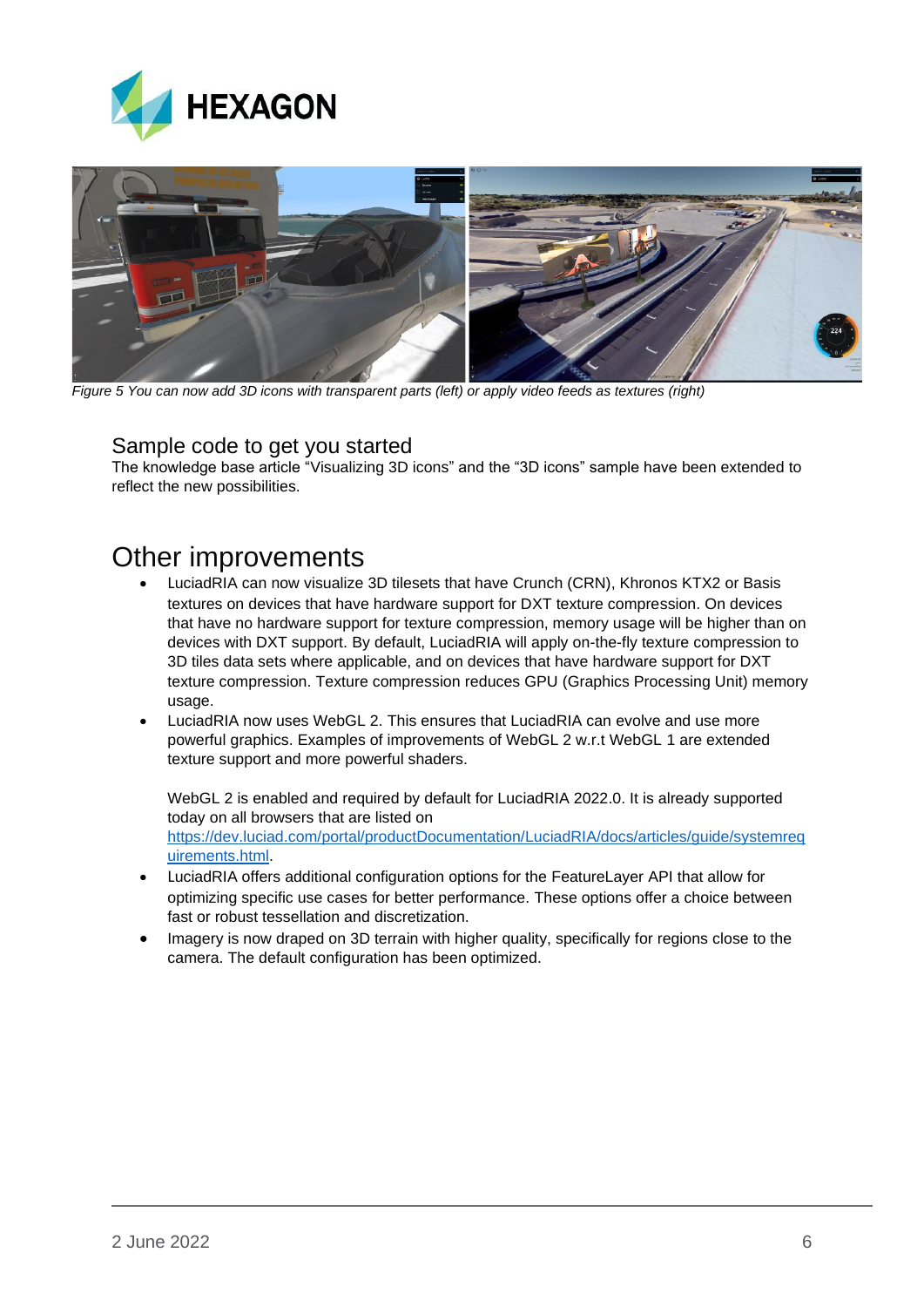



*Figure 5 You can now add 3D icons with transparent parts (left) or apply video feeds as textures (right)*

#### <span id="page-5-0"></span>Sample code to get you started

The knowledge base article "Visualizing 3D icons" and the "3D icons" sample have been extended to reflect the new possibilities.

### <span id="page-5-1"></span>Other improvements

- LuciadRIA can now visualize 3D tilesets that have Crunch (CRN), Khronos KTX2 or Basis textures on devices that have hardware support for DXT texture compression. On devices that have no hardware support for texture compression, memory usage will be higher than on devices with DXT support. By default, LuciadRIA will apply on-the-fly texture compression to 3D tiles data sets where applicable, and on devices that have hardware support for DXT texture compression. Texture compression reduces GPU (Graphics Processing Unit) memory usage.
- LuciadRIA now uses WebGL 2. This ensures that LuciadRIA can evolve and use more powerful graphics. Examples of improvements of WebGL 2 w.r.t WebGL 1 are extended texture support and more powerful shaders.

WebGL 2 is enabled and required by default for LuciadRIA 2022.0. It is already supported today on all browsers that are listed on [https://dev.luciad.com/portal/productDocumentation/LuciadRIA/docs/articles/guide/systemreq](https://dev.luciad.com/portal/productDocumentation/LuciadRIA/docs/articles/guide/systemrequirements.html) [uirements.html.](https://dev.luciad.com/portal/productDocumentation/LuciadRIA/docs/articles/guide/systemrequirements.html)

- LuciadRIA offers additional configuration options for the FeatureLayer API that allow for optimizing specific use cases for better performance. These options offer a choice between fast or robust tessellation and discretization.
- Imagery is now draped on 3D terrain with higher quality, specifically for regions close to the camera. The default configuration has been optimized.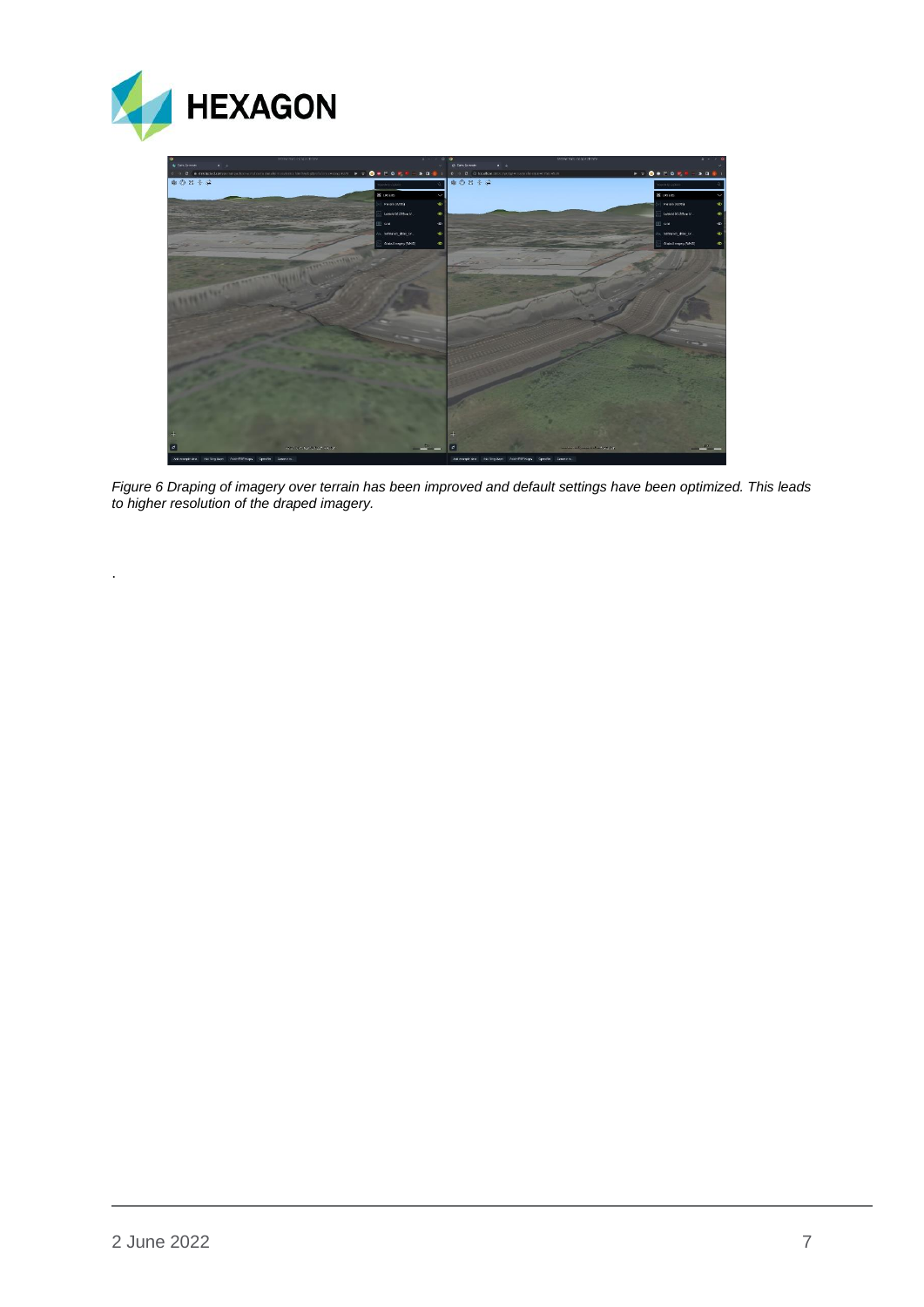



*Figure 6 Draping of imagery over terrain has been improved and default settings have been optimized. This leads to higher resolution of the draped imagery.*

.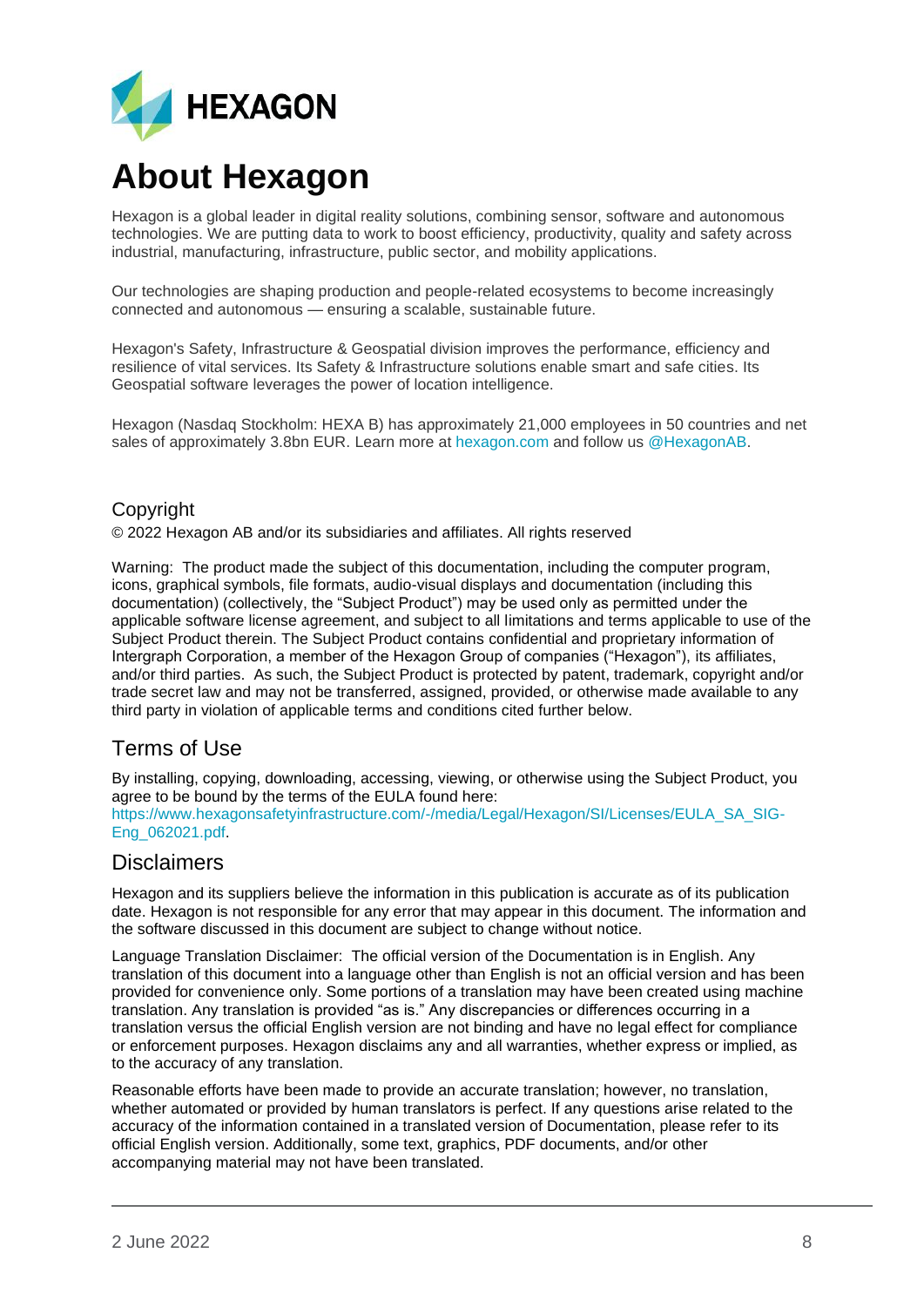

## **About Hexagon**

Hexagon is a global leader in digital reality solutions, combining sensor, software and autonomous technologies. We are putting data to work to boost efficiency, productivity, quality and safety across industrial, manufacturing, infrastructure, public sector, and mobility applications.

Our technologies are shaping production and people-related ecosystems to become increasingly connected and autonomous — ensuring a scalable, sustainable future.

Hexagon's Safety, Infrastructure & Geospatial division improves the performance, efficiency and resilience of vital services. Its Safety & Infrastructure solutions enable smart and safe cities. Its Geospatial software leverages the power of location intelligence.

Hexagon (Nasdaq Stockholm: HEXA B) has approximately 21,000 employees in 50 countries and net sales of approximately 3.8bn EUR. Learn more at [hexagon.com](https://hexagon.com/) and follow us [@HexagonAB.](https://twitter.com/hexagonab)

#### Copyright

© 2022 Hexagon AB and/or its subsidiaries and affiliates. All rights reserved

Warning: The product made the subject of this documentation, including the computer program, icons, graphical symbols, file formats, audio-visual displays and documentation (including this documentation) (collectively, the "Subject Product") may be used only as permitted under the applicable software license agreement, and subject to all limitations and terms applicable to use of the Subject Product therein. The Subject Product contains confidential and proprietary information of Intergraph Corporation, a member of the Hexagon Group of companies ("Hexagon"), its affiliates, and/or third parties. As such, the Subject Product is protected by patent, trademark, copyright and/or trade secret law and may not be transferred, assigned, provided, or otherwise made available to any third party in violation of applicable terms and conditions cited further below.

#### Terms of Use

By installing, copying, downloading, accessing, viewing, or otherwise using the Subject Product, you agree to be bound by the terms of the EULA found here: [https://www.hexagonsafetyinfrastructure.com/-/media/Legal/Hexagon/SI/Licenses/EULA\\_SA\\_SIG-](https://www.hexagonsafetyinfrastructure.com/-/media/Legal/Hexagon/SI/Licenses/EULA_SA_SIG-Eng_062021.pdf)[Eng\\_062021.pdf.](https://www.hexagonsafetyinfrastructure.com/-/media/Legal/Hexagon/SI/Licenses/EULA_SA_SIG-Eng_062021.pdf)

#### **Disclaimers**

Hexagon and its suppliers believe the information in this publication is accurate as of its publication date. Hexagon is not responsible for any error that may appear in this document. The information and the software discussed in this document are subject to change without notice.

Language Translation Disclaimer: The official version of the Documentation is in English. Any translation of this document into a language other than English is not an official version and has been provided for convenience only. Some portions of a translation may have been created using machine translation. Any translation is provided "as is." Any discrepancies or differences occurring in a translation versus the official English version are not binding and have no legal effect for compliance or enforcement purposes. Hexagon disclaims any and all warranties, whether express or implied, as to the accuracy of any translation.

Reasonable efforts have been made to provide an accurate translation; however, no translation, whether automated or provided by human translators is perfect. If any questions arise related to the accuracy of the information contained in a translated version of Documentation, please refer to its official English version. Additionally, some text, graphics, PDF documents, and/or other accompanying material may not have been translated.